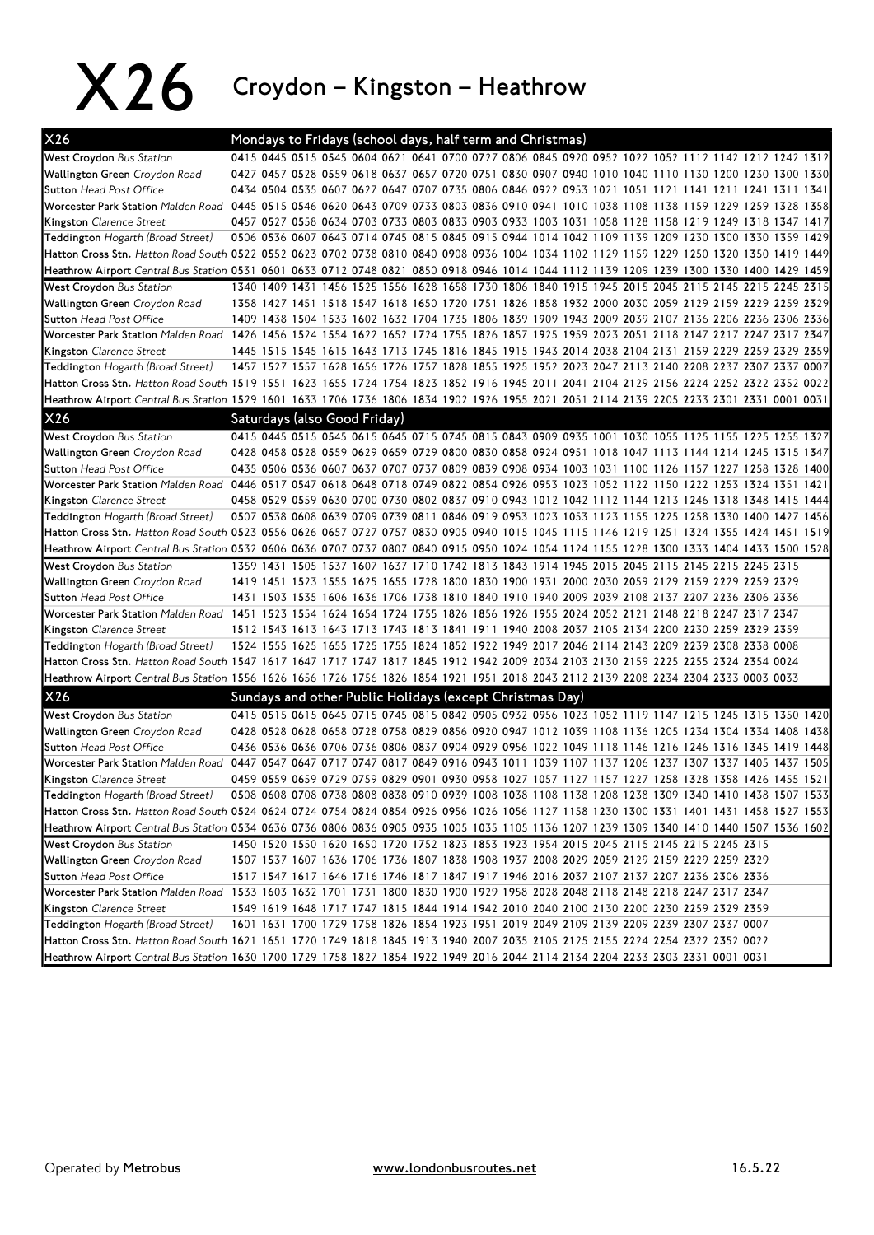X26 Croydon – Kingston – Heathrow

| X26                                                                                                                                             |                                                                                                     |                              |  |  |  |  | Mondays to Fridays (school days, half term and Christmas) |  |  |                                                                                                                                                                                                  |  |  |
|-------------------------------------------------------------------------------------------------------------------------------------------------|-----------------------------------------------------------------------------------------------------|------------------------------|--|--|--|--|-----------------------------------------------------------|--|--|--------------------------------------------------------------------------------------------------------------------------------------------------------------------------------------------------|--|--|
| <b>West Croydon Bus Station</b>                                                                                                                 |                                                                                                     |                              |  |  |  |  |                                                           |  |  | 0415 0445 0515 0545 0604 0621 0641 0700 0727 0806 0845 0920 0952 1022 1052 1112 1142 1212 1242 1312                                                                                              |  |  |
| Wallington Green Croydon Road                                                                                                                   |                                                                                                     |                              |  |  |  |  |                                                           |  |  | 0427 0457 0528 0559 0618 0637 0657 0720 0751 0830 0907 0940 1010 1040 1110 1130 1200 1230 1300 1330                                                                                              |  |  |
| <b>Sutton Head Post Office</b>                                                                                                                  |                                                                                                     |                              |  |  |  |  |                                                           |  |  | 0434 0504 0535 0607 0627 0647 0707 0735 0806 0846 0922 0953 1021 1051 1121 1141 1211 1241 1311 1341                                                                                              |  |  |
| Worcester Park Station Malden Road 0445 0515 0546 0620 0643 0709 0733 0803 0836 0910 0941 1010 1038 1108 1138 1159 1229 1259 1328 1358          |                                                                                                     |                              |  |  |  |  |                                                           |  |  |                                                                                                                                                                                                  |  |  |
| Kingston Clarence Street                                                                                                                        |                                                                                                     |                              |  |  |  |  |                                                           |  |  | 0457 0527 0558 0634 0703 0733 0803 0833 0903 0933 1003 1031 1058 1128 1158 1219 1249 1318 1347 1417                                                                                              |  |  |
| Teddington Hogarth (Broad Street)                                                                                                               |                                                                                                     |                              |  |  |  |  |                                                           |  |  | 0506 0536 0607 0643 0714 0745 0815 0845 0915 0944 1014 1042 1109 1139 1209 1230 1300 1330 1359 1429                                                                                              |  |  |
| Hatton Cross Stn. Hatton Road South 0522 0552 0623 0702 0738 0810 0840 0908 0936 1004 1034 1102 1129 1159 1229 1250 1320 1350 1419 1449         |                                                                                                     |                              |  |  |  |  |                                                           |  |  |                                                                                                                                                                                                  |  |  |
| Heathrow Airport Central Bus Station 0531 0601 0633 0712 0748 0821 0850 0918 0946 1014 1044 1112 1139 1209 1239 1300 1330 1400 1429 1459        |                                                                                                     |                              |  |  |  |  |                                                           |  |  |                                                                                                                                                                                                  |  |  |
| <b>West Croydon Bus Station</b>                                                                                                                 |                                                                                                     |                              |  |  |  |  |                                                           |  |  | 1340 1409 1431 1456 1525 1556 1628 1658 1730 1806 1840 1915 1945 2015 2045 2115 2145 2215 2245 2315                                                                                              |  |  |
| Wallington Green Croydon Road                                                                                                                   |                                                                                                     |                              |  |  |  |  |                                                           |  |  | 1358 1427 1451 1518 1547 1618 1650 1720 1751 1826 1858 1932 2000 2030 2059 2129 2159 2229 2259 2329                                                                                              |  |  |
| <b>Sutton Head Post Office</b>                                                                                                                  |                                                                                                     |                              |  |  |  |  |                                                           |  |  | 1409 1438 1504 1533 1602 1632 1704 1735 1806 1839 1909 1943 2009 2039 2107 2136 2206 2236 2306 2336                                                                                              |  |  |
| Worcester Park Station Malden Road 1426 1456 1524 1554 1622 1652 1724 1755 1826 1857 1925 1959 2023 2051 2118 2147 2217 2247 2317 2347          |                                                                                                     |                              |  |  |  |  |                                                           |  |  |                                                                                                                                                                                                  |  |  |
| <b>Kingston</b> Clarence Street                                                                                                                 |                                                                                                     |                              |  |  |  |  |                                                           |  |  | 1445 1515 1545 1615 1643 1713 1745 1816 1845 1915 1943 2014 2038 2104 2131 2159 2229 2259 2329 2359                                                                                              |  |  |
| Teddington Hogarth (Broad Street)                                                                                                               |                                                                                                     |                              |  |  |  |  |                                                           |  |  | 1457 1527 1557 1628 1656 1726 1757 1828 1855 1925 1952 2023 2047 2113 2140 2208 2237 2307 2337 0007                                                                                              |  |  |
|                                                                                                                                                 |                                                                                                     |                              |  |  |  |  |                                                           |  |  |                                                                                                                                                                                                  |  |  |
| Heathrow Airport Central Bus Station 1529 1601 1633 1706 1736 1806 1834 1902 1926 1955 2021 2051 2114 2139 2205 2233 2301 2331 0001 0031        |                                                                                                     |                              |  |  |  |  |                                                           |  |  |                                                                                                                                                                                                  |  |  |
| X26                                                                                                                                             |                                                                                                     | Saturdays (also Good Friday) |  |  |  |  |                                                           |  |  |                                                                                                                                                                                                  |  |  |
|                                                                                                                                                 |                                                                                                     |                              |  |  |  |  |                                                           |  |  |                                                                                                                                                                                                  |  |  |
| <b>West Croydon Bus Station</b>                                                                                                                 |                                                                                                     |                              |  |  |  |  |                                                           |  |  | 0415 0445 0515 0545 0615 0645 0715 0745 0815 0843 0909 0935 1001 1030 1055 1125 1155 1225 1255 1327                                                                                              |  |  |
| Wallington Green Croydon Road                                                                                                                   |                                                                                                     |                              |  |  |  |  |                                                           |  |  | 0428 0458 0528 0559 0629 0659 0729 0800 0830 0858 0924 0951 1018 1047 1113 1144 1214 1245 1315 1347                                                                                              |  |  |
| <b>Sutton Head Post Office</b>                                                                                                                  |                                                                                                     |                              |  |  |  |  |                                                           |  |  | 0435 0506 0536 0607 0637 0707 0737 0809 0839 0908 0934 1003 1031 1100 1126 1157 1227 1258 1328 1400                                                                                              |  |  |
| Worcester Park Station Malden Road 0446 0517 0547 0618 0648 0718 0749 0822 0854 0926 0953 1023 1052 1122 1150 1222 1253 1324 1351 1421          |                                                                                                     |                              |  |  |  |  |                                                           |  |  |                                                                                                                                                                                                  |  |  |
| Kingston Clarence Street                                                                                                                        |                                                                                                     |                              |  |  |  |  |                                                           |  |  | 0458 0529 0559 0630 0700 0730 0802 0837 0910 0943 1012 1042 1112 1144 1213 1246 1318 1348 1415 1444                                                                                              |  |  |
| Teddington Hogarth (Broad Street)                                                                                                               |                                                                                                     |                              |  |  |  |  |                                                           |  |  | 0507 0538 0608 0639 0709 0739 0811 0846 0919 0953 1023 1053 1123 1155 1225 1258 1330 1400 1427 1456                                                                                              |  |  |
| (Hatton Cross Stn. <i>Hatton Road South 0523 0556 0626 0657 0727 0757 0830 0905 0940 1015 1045 1115 1146 1219 1251 1324 1355 1424 1451 1519</i> |                                                                                                     |                              |  |  |  |  |                                                           |  |  |                                                                                                                                                                                                  |  |  |
| Heathrow Airport Central Bus Station 0532 0606 0636 0707 0737 0807 0840 0915 0950 1024 1054 1124 1155 1228 1300 1333 1404 1433 1500 1528        |                                                                                                     |                              |  |  |  |  |                                                           |  |  |                                                                                                                                                                                                  |  |  |
| West Croydon Bus Station<br>Wallington Green Croydon Road                                                                                       |                                                                                                     |                              |  |  |  |  |                                                           |  |  | 1359 1431 1505 1537 1607 1637 1710 1742 1813 1843 1914 1945 2015 2045 2115 2145 2215 2245 2315<br>1419 1451 1523 1555 1625 1655 1728 1800 1830 1900 1931 2000 2030 2059 2129 2159 2229 2259 2329 |  |  |
| <b>Sutton Head Post Office</b>                                                                                                                  |                                                                                                     |                              |  |  |  |  |                                                           |  |  | 1431 1503 1535 1606 1636 1706 1738 1810 1840 1910 1940 2009 2039 2108 2137 2207 2236 2306 2336                                                                                                   |  |  |
| 1247 2317 2347 247 247 247 247 247 247 247 248 249 249 244 254 244 2543 2544 2644 2642 2642 2644 2652 2721 2748 2718 2717 2747 2717 2747        |                                                                                                     |                              |  |  |  |  |                                                           |  |  |                                                                                                                                                                                                  |  |  |
| <b>Kingston</b> Clarence Street                                                                                                                 |                                                                                                     |                              |  |  |  |  |                                                           |  |  | 1512 1543 1613 1643 1713 1743 1813 1841 1911 1940 2008 2037 2105 2134 2200 2230 2259 2329 2359                                                                                                   |  |  |
| Teddington Hogarth (Broad Street)                                                                                                               | 1524 1555 1625 1655 1725 1755 1824 1852 1922 1949 2017 2046 2114 2143 2209 2239 2308 2338 0008      |                              |  |  |  |  |                                                           |  |  |                                                                                                                                                                                                  |  |  |
| Hatton Cross Stn. Hatton Road South 1547 1617 1647 1717 1747 1817 1845 1912 1942 2009 2034 2103 2130 2159 2225 2255 2324 2354 0024              |                                                                                                     |                              |  |  |  |  |                                                           |  |  |                                                                                                                                                                                                  |  |  |
| Heathrow Airport Central Bus Station 1556 1626 1656 1726 1756 1826 1854 1921 1951 2018 2043 2112 2139 2208 2234 2304 2333 0003 0033             |                                                                                                     |                              |  |  |  |  |                                                           |  |  |                                                                                                                                                                                                  |  |  |
|                                                                                                                                                 |                                                                                                     |                              |  |  |  |  |                                                           |  |  |                                                                                                                                                                                                  |  |  |
| X26                                                                                                                                             |                                                                                                     |                              |  |  |  |  | Sundays and other Public Holidays (except Christmas Day)  |  |  |                                                                                                                                                                                                  |  |  |
| <b>West Croydon Bus Station</b>                                                                                                                 |                                                                                                     |                              |  |  |  |  |                                                           |  |  | 0415 0515 0615 0645 0715 0745 0815 0842 0905 0932 0956 1023 1052 1119 1147 1215 1245 1315 1350 1420                                                                                              |  |  |
| Wallington Green Croydon Road                                                                                                                   |                                                                                                     |                              |  |  |  |  |                                                           |  |  | 0428 0528 0628 0658 0728 0758 0829 0856 0920 0947 1012 1039 1108 1136 1205 1234 1304 1334 1408 1438                                                                                              |  |  |
| <b>Sutton Head Post Office</b>                                                                                                                  |                                                                                                     |                              |  |  |  |  |                                                           |  |  | 0436 0536 0636 0706 0736 0806 0837 0904 0929 0956 1022 1049 1118 1146 1216 1246 1316 1345 1419 1448                                                                                              |  |  |
| <b>I</b> Worcester Park Station <i>Malden Road</i>                                                                                              | 0447 0547 0647 0717 0747 0817 0849 0916 0943 1011 1039 1107 1137 1206 1237 1307 1337 1405 1437 1505 |                              |  |  |  |  |                                                           |  |  |                                                                                                                                                                                                  |  |  |
| Kingston Clarence Street                                                                                                                        |                                                                                                     |                              |  |  |  |  |                                                           |  |  | 0459 0559 0659 0729 0759 0829 0901 0930 0958 1027 1057 1127 1157 1227 1258 1328 1358 1426 1455 1521                                                                                              |  |  |
| Teddington Hogarth (Broad Street)                                                                                                               |                                                                                                     |                              |  |  |  |  |                                                           |  |  | 0508 0608 0708 0738 0808 0838 0910 0939 1008 1038 1108 1138 1208 1238 1309 1340 1410 1438 1507 1533                                                                                              |  |  |
| Hatton Cross Stn. <i>Hatton Road South 0524 0624 0724 0754 0824 0854 0926 0956 1026 1056 1127 1158 1230 1300 1331 1401 1431 1458 1527 1553</i>  |                                                                                                     |                              |  |  |  |  |                                                           |  |  |                                                                                                                                                                                                  |  |  |
| Heathrow Airport Central Bus Station 0534 0636 0736 0806 0836 0905 0935 1005 1035 1105 1136 1207 1239 1309 1340 1410 1440 1507 1536 1602        |                                                                                                     |                              |  |  |  |  |                                                           |  |  |                                                                                                                                                                                                  |  |  |
| <b>West Croydon Bus Station</b>                                                                                                                 |                                                                                                     |                              |  |  |  |  |                                                           |  |  | 1450 1520 1550 1620 1650 1720 1752 1823 1853 1923 1954 2015 2045 2115 2145 2215 2245 2315                                                                                                        |  |  |
| Wallington Green Croydon Road                                                                                                                   |                                                                                                     |                              |  |  |  |  |                                                           |  |  | 1507 1537 1607 1636 1706 1736 1807 1838 1908 1937 2008 2029 2059 2129 2159 2229 2259 2329                                                                                                        |  |  |
| Sutton Head Post Office                                                                                                                         |                                                                                                     |                              |  |  |  |  |                                                           |  |  | 1517 1547 1617 1646 1716 1746 1817 1847 1917 1946 2016 2037 2107 2137 2207 2236 2306 2336                                                                                                        |  |  |
| Worcester Park Station Malden Road 1533 1603 1632 1701 1731 1800 1830 1900 1929 1958 2028 2048 2118 2148 2218 2247 2317 2347                    |                                                                                                     |                              |  |  |  |  |                                                           |  |  |                                                                                                                                                                                                  |  |  |
| Kingston Clarence Street                                                                                                                        |                                                                                                     |                              |  |  |  |  |                                                           |  |  | 1549 1619 1648 1717 1747 1815 1844 1914 1942 2010 2040 2100 2130 2200 2230 2259 2329 2359                                                                                                        |  |  |
| Teddington Hogarth (Broad Street)                                                                                                               |                                                                                                     |                              |  |  |  |  |                                                           |  |  | 1601 1631 1700 1729 1758 1826 1854 1923 1951 2019 2049 2109 2139 2209 2239 2307 2337 0007                                                                                                        |  |  |
| Hatton Cross Stn. Hatton Road South 1621 1651 1720 1749 1818 1845 1913 1940 2007 2035 2105 2125 2155 2224 2254 2322 2352 0022                   |                                                                                                     |                              |  |  |  |  |                                                           |  |  |                                                                                                                                                                                                  |  |  |
| Heathrow Airport Central Bus Station 1630 1700 1729 1758 1827 1854 1922 1949 2016 2044 2114 2134 2204 2233 2303 2331 0001 0031                  |                                                                                                     |                              |  |  |  |  |                                                           |  |  |                                                                                                                                                                                                  |  |  |